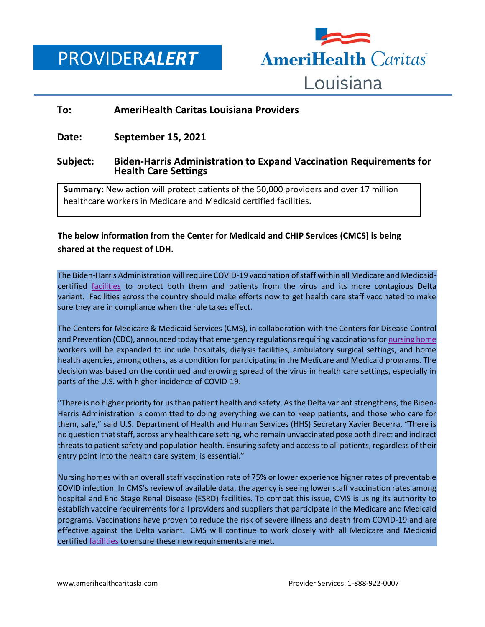PROVIDER*ALERT*



## **To: AmeriHealth Caritas Louisiana Providers**

**Date: September 15, 2021**

## **Subject: Biden-Harris Administration to Expand Vaccination Requirements for Health Care Settings**

**Summary:** New action will protect patients of the 50,000 providers and over 17 million healthcare workers in Medicare and Medicaid certified facilities**.**

**The below information from the Center for Medicaid and CHIP Services (CMCS) is being shared at the request of LDH.**

The Biden-Harris Administration will require COVID-19 vaccination of staff within all Medicare and Medicaidcertified [facilities](https://urldefense.proofpoint.com/v2/url?u=http-3A__link.mediaoutreach.meltwater.com_ls_click-3Fupn-3D2NqviemW3YF4lD4W3GVIknwa4INzTRXmzuOxk8f94zPLSWCQmeE6CuKzBMXPT-2D2BFjUXuj4ohmwHOy00j0U5vZ-2D2F2AWxaZi2JBwWFeR62YbK5fS6pbyIhXAgld7yNPNTB-2D2FyzRmGVRsq4J7Xe5sKP9VAdw-2D3D-2D3DfWsL-5FbizJ3rQjIh9-2D2F40eorGOn5bn68yItZeSpT-2D2FnUxjpYtkSg6ZEsNBDtnZPLwnxVKNfbaIr3OsoavlLkeWrpBzoD0j6-2D2FHsSLoRDosLg4-2D2F83UM8-2D2FIzWWA7Yacw7h5AN0KZrmgb4XbRhcF75p2qS8wsaY2dMnGhKgs67VY9IsE500Uz8PMZ8x1y-2D2FTnc2osH-2D2BUUwwFdTF2wcAaFIlDj6H-2D2B5doF1M5qiOKhJFnby1-2D2FkFkRKaQRfgRt0upUjti-2D2Fmk7zQdt6HNuhACZZJhQJoyVJHQg18w9djB1u-2D2Bkyrt-2D2FpwgVuoRHjWpD750JPqxQEo1fqDVLA9TK9ALBm9Ay6awUjoPHzorrXRVj5Wgich36RhTCVX6PUnc9APnE44wIbKwtBMmwBCey5mZJ38Wmy7yaXbYet1nR3A-2D3D-2D3D&d=DwMFAA&c=xlPCXuHzMdaH2Flc1sgyicYpGQbQbU9KDEmgNF3_wI0&r=twCCqm1JvPhYt5yS9X4SG_kWir5G-xiDnnbiMOUj85s&m=7s9pmou3IO8Zimh3IPjDMLTLExjcmeEnD8PpTgaAvqs&s=-VYGYWrpgD8xOtLo2JPoffiFm9IVO5ZBkd0xwiZo6DM&e=) to protect both them and patients from the virus and its more contagious Delta variant. Facilities across the country should make efforts now to get health care staff vaccinated to make sure they are in compliance when the rule takes effect.

The Centers for Medicare & Medicaid Services (CMS), in collaboration with the Centers for Disease Control and Prevention (CDC), announced today that emergency regulations requiring vaccinations for nursing home workers will be expanded to include hospitals, dialysis facilities, ambulatory surgical settings, and home health agencies, among others, as a condition for participating in the Medicare and Medicaid programs. The decision was based on the continued and growing spread of the virus in health care settings, especially in parts of the U.S. with higher incidence of COVID-19.

"There is no higher priority for us than patient health and safety. As the Delta variant strengthens, the Biden-Harris Administration is committed to doing everything we can to keep patients, and those who care for them, safe," said U.S. Department of Health and Human Services (HHS) Secretary Xavier Becerra. "There is no question that staff, across any health care setting, who remain unvaccinated pose both direct and indirect threats to patient safety and population health. Ensuring safety and access to all patients, regardless of their entry point into the health care system, is essential."

Nursing homes with an overall staff vaccination rate of 75% or lower experience higher rates of preventable COVID infection. In CMS's review of available data, the agency is seeing lower staff vaccination rates among hospital and End Stage Renal Disease (ESRD) facilities. To combat this issue, CMS is using its authority to establish vaccine requirements for all providers and suppliers that participate in the Medicare and Medicaid programs. Vaccinations have proven to reduce the risk of severe illness and death from COVID-19 and are effective against the Delta variant. CMS will continue to work closely with all Medicare and Medicaid certified [facilities](https://urldefense.proofpoint.com/v2/url?u=http-3A__link.mediaoutreach.meltwater.com_ls_click-3Fupn-3D2NqviemW3YF4lD4W3GVIknwa4INzTRXmzuOxk8f94zPLSWCQmeE6CuKzBMXPT-2D2BFjUXuj4ohmwHOy00j0U5vZ-2D2F2AWxaZi2JBwWFeR62YbK5fS6pbyIhXAgld7yNPNTB-2D2FyzRmGVRsq4J7Xe5sKP9VAdw-2D3D-2D3DWuq0-5FbizJ3rQjIh9-2D2F40eorGOn5bn68yItZeSpT-2D2FnUxjpYtkSg6ZEsNBDtnZPLwnxVKNfbaIr3OsoavlLkeWrpBzoD0j6-2D2FHsSLoRDosLg4-2D2F83UM8-2D2FIzWWA7Yacw7h5AN0KZrmgb4XbRhcF75p2qS8wsaY2dMnGhKgs67VY9IsE500Uz8PMZ8x1y-2D2FTnc2osH-2D2BUUwwFdTF2wcAaFIlDj6H-2D2B5doF1M5qiOKhJFnby1-2D2FkFkRKaQRc-2D2BTMMcYSj2I3gu19CvQ-2D2FUohzxJHqAONd0tTQnorm9w8R6lILPU5m6OjzxoCDyKxWRD8mdpwk4njPd3WQ6YLTYdfMyxnuPHW3hgOimnZaSbfPxMOJErdcrCeXYHSIHwli6rqHm2dLo5hiAMO4QCfw8bb7KG4onSUZAyCAFyusp9Ug-2D3D-2D3D&d=DwMFAA&c=xlPCXuHzMdaH2Flc1sgyicYpGQbQbU9KDEmgNF3_wI0&r=twCCqm1JvPhYt5yS9X4SG_kWir5G-xiDnnbiMOUj85s&m=7s9pmou3IO8Zimh3IPjDMLTLExjcmeEnD8PpTgaAvqs&s=2KQhCCyfd_itojXbsQ03nV9yufHOcMoXZjDuGj4HZUs&e=) to ensure these new requirements are met.